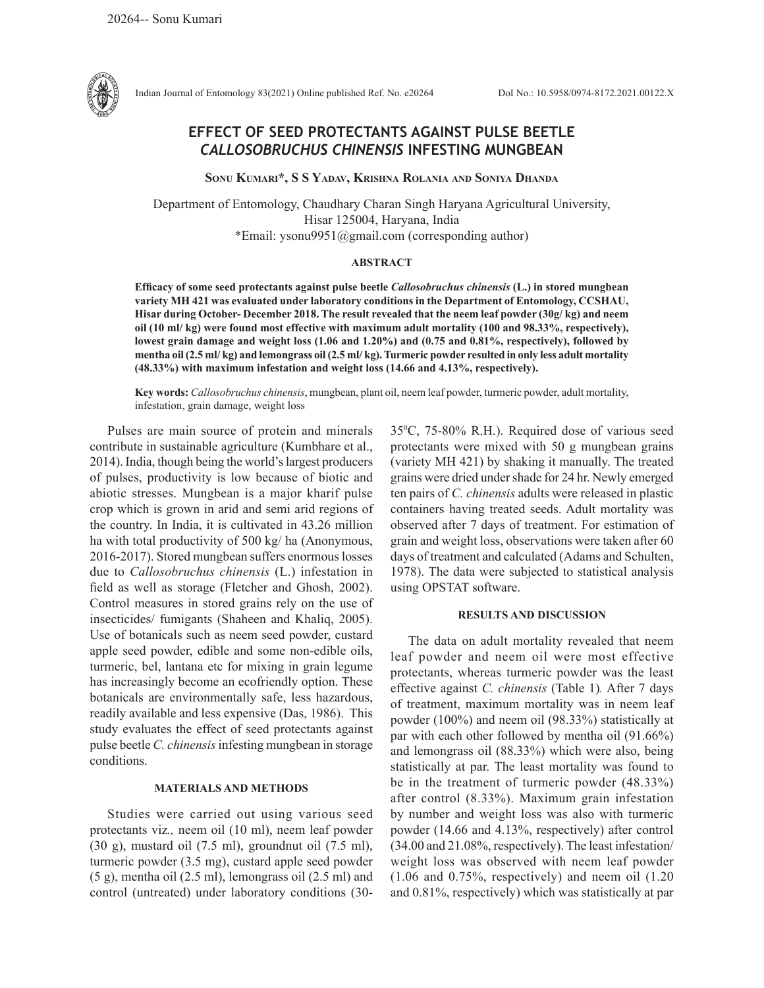

Indian Journal of Entomology 83(2021) Online published Ref. No. e20264 DoI No.: 10.5958/0974-8172.2021.00122.X

# **EFFECT OF SEED PROTECTANTS AGAINST PULSE BEETLE**  *CALLOSOBRUCHUS CHINENSIS* **INFESTING MUNGBEAN**

**Sonu Kumari\*, S S Yadav, Krishna Rolania and Soniya Dhanda**

Department of Entomology, Chaudhary Charan Singh Haryana Agricultural University, Hisar 125004, Haryana, India \*Email: ysonu9951@gmail.com (corresponding author)

## **ABSTRACT**

**Efficacy of some seed protectants against pulse beetle** *Callosobruchus chinensis* **(L.) in stored mungbean variety MH 421 was evaluated under laboratory conditions in the Department of Entomology, CCSHAU, Hisar during October- December 2018. The result revealed that the neem leaf powder (30g/ kg) and neem oil (10 ml/ kg) were found most effective with maximum adult mortality (100 and 98.33%, respectively), lowest grain damage and weight loss (1.06 and 1.20%) and (0.75 and 0.81%, respectively), followed by mentha oil (2.5 ml/ kg) and lemongrass oil (2.5 ml/ kg). Turmeric powder resulted in only less adult mortality (48.33%) with maximum infestation and weight loss (14.66 and 4.13%, respectively).** 

**Key words:** *Callosobruchus chinensis*, mungbean, plant oil, neem leaf powder, turmeric powder, adult mortality, infestation, grain damage, weight loss

Pulses are main source of protein and minerals contribute in sustainable agriculture (Kumbhare et al., 2014). India, though being the world's largest producers of pulses, productivity is low because of biotic and abiotic stresses. Mungbean is a major kharif pulse crop which is grown in arid and semi arid regions of the country. In India, it is cultivated in 43.26 million ha with total productivity of 500 kg/ ha (Anonymous, 2016-2017). Stored mungbean suffers enormous losses due to *Callosobruchus chinensis* (L.) infestation in field as well as storage (Fletcher and Ghosh, 2002). Control measures in stored grains rely on the use of insecticides/ fumigants (Shaheen and Khaliq, 2005). Use of botanicals such as neem seed powder, custard apple seed powder, edible and some non-edible oils, turmeric, bel, lantana etc for mixing in grain legume has increasingly become an ecofriendly option. These botanicals are environmentally safe, less hazardous, readily available and less expensive (Das, 1986). This study evaluates the effect of seed protectants against pulse beetle *C. chinensis* infesting mungbean in storage conditions.

### **MATERIALS AND METHODS**

Studies were carried out using various seed protectants viz*.,* neem oil (10 ml), neem leaf powder (30 g), mustard oil (7.5 ml), groundnut oil (7.5 ml), turmeric powder (3.5 mg), custard apple seed powder (5 g), mentha oil (2.5 ml), lemongrass oil (2.5 ml) and control (untreated) under laboratory conditions (30-

350 C, 75-80% R.H.). Required dose of various seed protectants were mixed with 50 g mungbean grains (variety MH 421) by shaking it manually. The treated grains were dried under shade for 24 hr. Newly emerged ten pairs of *C. chinensis* adults were released in plastic containers having treated seeds. Adult mortality was observed after 7 days of treatment. For estimation of grain and weight loss, observations were taken after 60 days of treatment and calculated (Adams and Schulten, 1978). The data were subjected to statistical analysis using OPSTAT software.

### **RESULTS AND DISCUSSION**

The data on adult mortality revealed that neem leaf powder and neem oil were most effective protectants, whereas turmeric powder was the least effective against *C. chinensis* (Table 1)*.* After 7 days of treatment, maximum mortality was in neem leaf powder (100%) and neem oil (98.33%) statistically at par with each other followed by mentha oil (91.66%) and lemongrass oil (88.33%) which were also, being statistically at par. The least mortality was found to be in the treatment of turmeric powder (48.33%) after control (8.33%). Maximum grain infestation by number and weight loss was also with turmeric powder (14.66 and 4.13%, respectively) after control (34.00 and 21.08%, respectively). The least infestation/ weight loss was observed with neem leaf powder (1.06 and 0.75%, respectively) and neem oil (1.20 and 0.81%, respectively) which was statistically at par